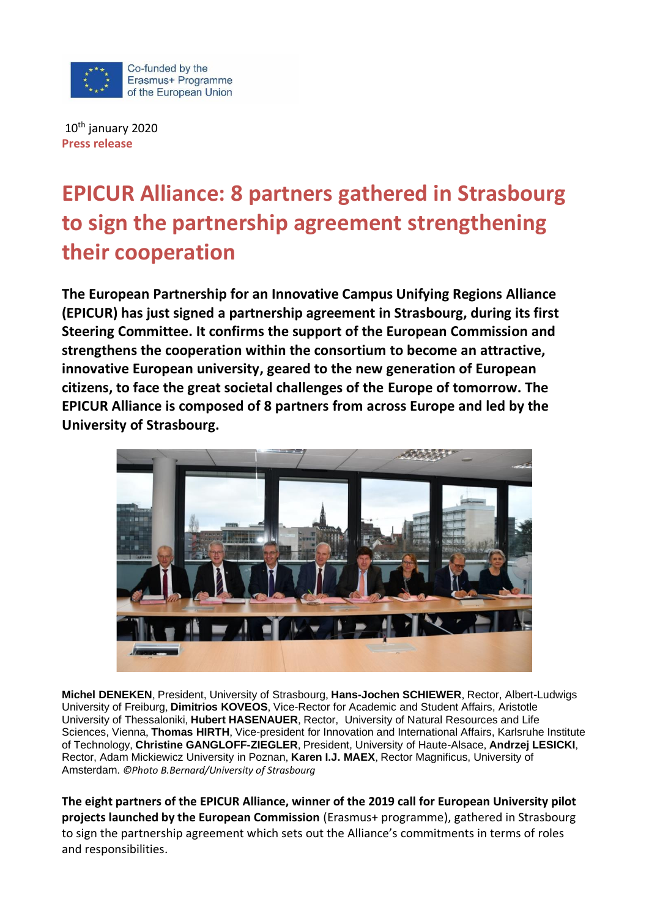

10th january 2020 **Press release**

# **EPICUR Alliance: 8 partners gathered in Strasbourg to sign the partnership agreement strengthening their cooperation**

**The European Partnership for an Innovative Campus Unifying Regions Alliance (EPICUR) has just signed a partnership agreement in Strasbourg, during its first Steering Committee. It confirms the support of the European Commission and strengthens the cooperation within the consortium to become an attractive, innovative European university, geared to the new generation of European citizens, to face the great societal challenges of the Europe of tomorrow. The EPICUR Alliance is composed of 8 partners from across Europe and led by the University of Strasbourg.**



**Michel DENEKEN**, President, University of Strasbourg, **Hans-Jochen SCHIEWER**, Rector, Albert-Ludwigs University of Freiburg, **Dimitrios KOVEOS**, Vice-Rector for Academic and Student Affairs, Aristotle University of Thessaloniki, **Hubert HASENAUER**, Rector, University of Natural Resources and Life Sciences, Vienna, **Thomas HIRTH**, Vice-president for Innovation and International Affairs, Karlsruhe Institute of Technology, **Christine GANGLOFF-ZIEGLER**, President, University of Haute-Alsace, **Andrzej LESICKI**, Rector, Adam Mickiewicz University in Poznan, **Karen I.J. MAEX**, Rector Magnificus, University of Amsterdam. *©Photo B.Bernard/University of Strasbourg*

**The eight partners of the EPICUR Alliance, winner of the 2019 call for European University pilot projects launched by the European Commission** (Erasmus+ programme), gathered in Strasbourg to sign the partnership agreement which sets out the Alliance's commitments in terms of roles and responsibilities.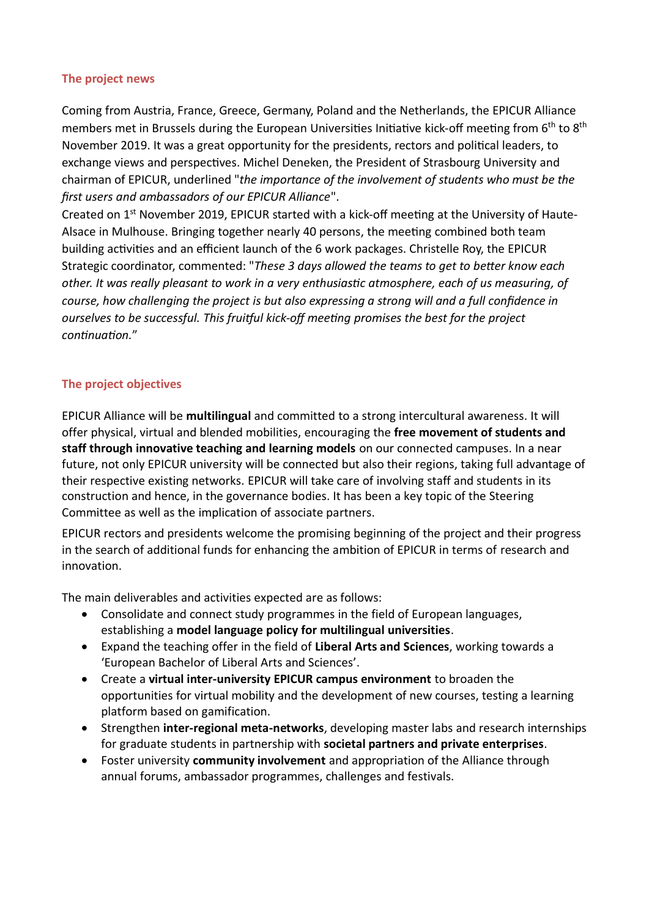# **The project news**

Coming from Austria, France, Greece, Germany, Poland and the Netherlands, the EPICUR Alliance members met in Brussels during the European Universities Initiative kick-off meeting from 6<sup>th</sup> to 8<sup>th</sup> November 2019. It was a great opportunity for the presidents, rectors and political leaders, to exchange views and perspectives. Michel Deneken, the President of Strasbourg University and chairman of EPICUR, underlined "*the importance of the involvement of students who must be the first users and ambassadors of our EPICUR Alliance*".

Created on 1<sup>st</sup> November 2019, EPICUR started with a kick-off meeting at the University of Haute-Alsace in Mulhouse. Bringing together nearly 40 persons, the meeting combined both team building activities and an efficient launch of the 6 work packages. Christelle Roy, the EPICUR Strategic coordinator, commented: "*These 3 days allowed the teams to get to better know each other. It was really pleasant to work in a very enthusiastic atmosphere, each of us measuring, of course, how challenging the project is but also expressing a strong will and a full confidence in ourselves to be successful. This fruitful kick-off meeting promises the best for the project continuation.*"

# **The project objectives**

EPICUR Alliance will be **multilingual** and committed to a strong intercultural awareness. It will offer physical, virtual and blended mobilities, encouraging the **free movement of students and staff through innovative teaching and learning models** on our connected campuses. In a near future, not only EPICUR university will be connected but also their regions, taking full advantage of their respective existing networks. EPICUR will take care of involving staff and students in its construction and hence, in the governance bodies. It has been a key topic of the Steering Committee as well as the implication of associate partners.

EPICUR rectors and presidents welcome the promising beginning of the project and their progress in the search of additional funds for enhancing the ambition of EPICUR in terms of research and innovation.

The main deliverables and activities expected are as follows:

- Consolidate and connect study programmes in the field of European languages, establishing a **model language policy for multilingual universities**.
- Expand the teaching offer in the field of **Liberal Arts and Sciences**, working towards a 'European Bachelor of Liberal Arts and Sciences'.
- Create a **virtual inter-university EPICUR campus environment** to broaden the opportunities for virtual mobility and the development of new courses, testing a learning platform based on gamification.
- Strengthen **inter-regional meta-networks**, developing master labs and research internships for graduate students in partnership with **societal partners and private enterprises**.
- Foster university **community involvement** and appropriation of the Alliance through annual forums, ambassador programmes, challenges and festivals.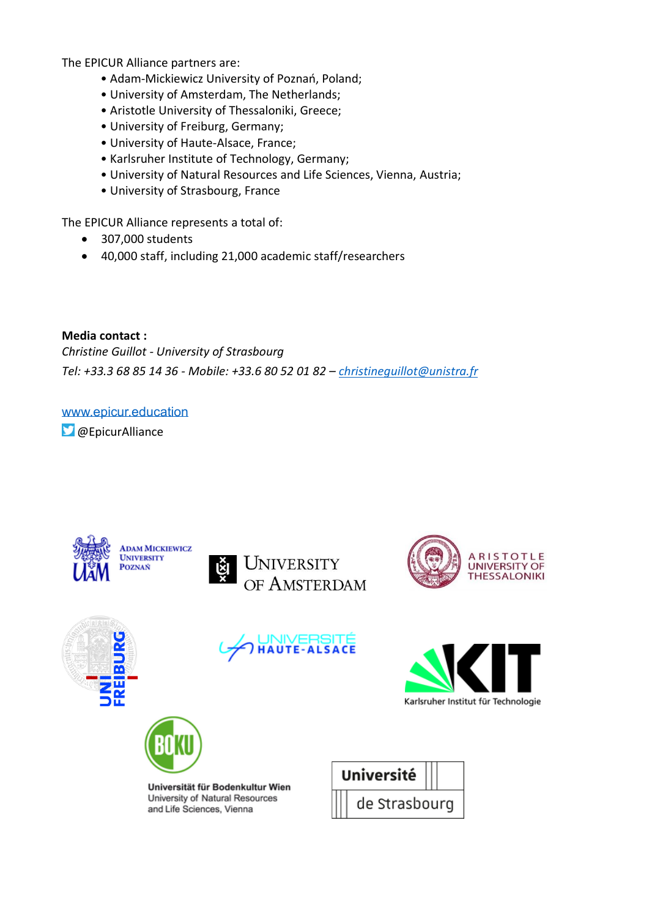The EPICUR Alliance partners are:

- Adam-Mickiewicz University of Poznań, Poland;
- University of Amsterdam, The Netherlands;
- Aristotle University of Thessaloniki, Greece;
- University of Freiburg, Germany;
- University of Haute-Alsace, France;
- Karlsruher Institute of Technology, Germany;
- University of Natural Resources and Life Sciences, Vienna, Austria;
- University of Strasbourg, France

The EPICUR Alliance represents a total of:

- 307,000 students
- 40,000 staff, including 21,000 academic staff/researchers

**Media contact :** *Christine Guillot - University of Strasbourg Tel: +33.3 68 85 14 36 - Mobile: +33.6 80 52 01 82 – [christineguillot@unistra.fr](mailto:christineguillot@unistra.fr)*

[www.epicur.education](http://www.epicur.education/) **D** @EpicurAlliance















Universität für Bodenkultur Wien University of Natural Resources and Life Sciences, Vienna

| Université |  |               |  |  |
|------------|--|---------------|--|--|
|            |  | de Strasbourg |  |  |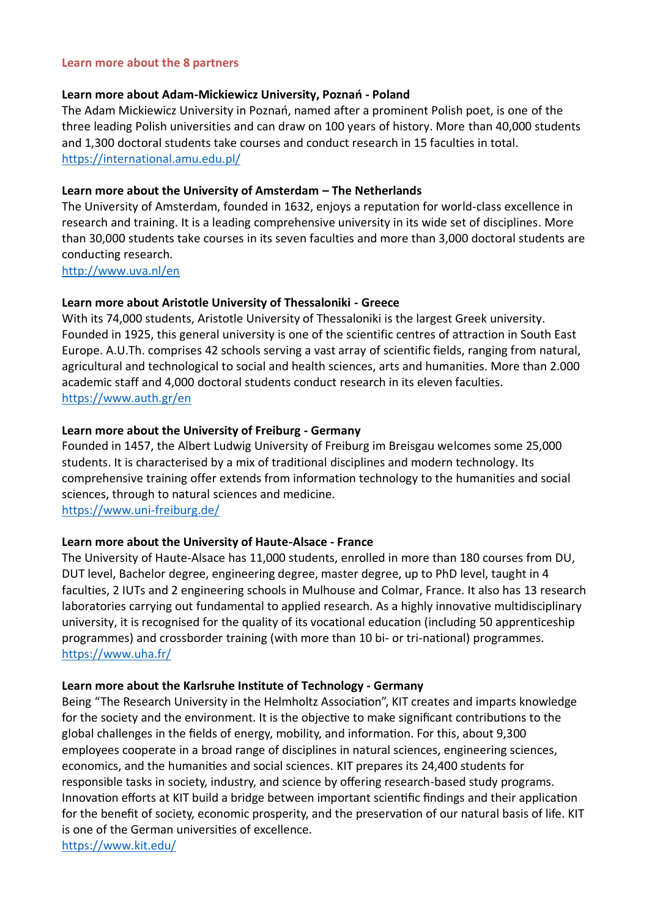#### **Learn more about the 8 partners**

#### **Learn more about Adam-Mickiewicz University, Poznań - Poland**

The Adam Mickiewicz University in Poznań, named after a prominent Polish poet, is one of the three leading Polish universities and can draw on 100 years of history. More than 40,000 students and 1,300 doctoral students take courses and conduct research in 15 faculties in total. <https://international.amu.edu.pl/>

#### **Learn more about the University of Amsterdam – The Netherlands**

The University of Amsterdam, founded in 1632, enjoys a reputation for world-class excellence in research and training. It is a leading comprehensive university in its wide set of disciplines. More than 30,000 students take courses in its seven faculties and more than 3,000 doctoral students are conducting research.

<http://www.uva.nl/en>

#### **Learn more about Aristotle University of Thessaloniki - Greece**

With its 74,000 students, Aristotle University of Thessaloniki is the largest Greek university. Founded in 1925, this general university is one of the scientific centres of attraction in South East Europe. A.U.Th. comprises 42 schools serving a vast array of scientific fields, ranging from natural, agricultural and technological to social and health sciences, arts and humanities. More than 2.000 academic staff and 4,000 doctoral students conduct research in its eleven faculties. <https://www.auth.gr/en>

#### **Learn more about the University of Freiburg - Germany**

Founded in 1457, the Albert Ludwig University of Freiburg im Breisgau welcomes some 25,000 students. It is characterised by a mix of traditional disciplines and modern technology. Its comprehensive training offer extends from information technology to the humanities and social sciences, through to natural sciences and medicine.

<https://www.uni-freiburg.de/>

## **Learn more about the University of Haute-Alsace - France**

The University of Haute-Alsace has 11,000 students, enrolled in more than 180 courses from DU, DUT level, Bachelor degree, engineering degree, master degree, up to PhD level, taught in 4 faculties, 2 IUTs and 2 engineering schools in Mulhouse and Colmar, France. It also has 13 research laboratories carrying out fundamental to applied research. As a highly innovative multidisciplinary university, it is recognised for the quality of its vocational education (including 50 apprenticeship programmes) and crossborder training (with more than 10 bi- or tri-national) programmes. <https://www.uha.fr/>

#### **Learn more about the Karlsruhe Institute of Technology - Germany**

Being "The Research University in the Helmholtz Association", KIT creates and imparts knowledge for the society and the environment. It is the objective to make significant contributions to the global challenges in the fields of energy, mobility, and information. For this, about 9,300 employees cooperate in a broad range of disciplines in natural sciences, engineering sciences, economics, and the humanities and social sciences. KIT prepares its 24,400 students for responsible tasks in society, industry, and science by offering research-based study programs. Innovation efforts at KIT build a bridge between important scientific findings and their application for the benefit of society, economic prosperity, and the preservation of our natural basis of life. KIT is one of the German universities of excellence. <https://www.kit.edu/>